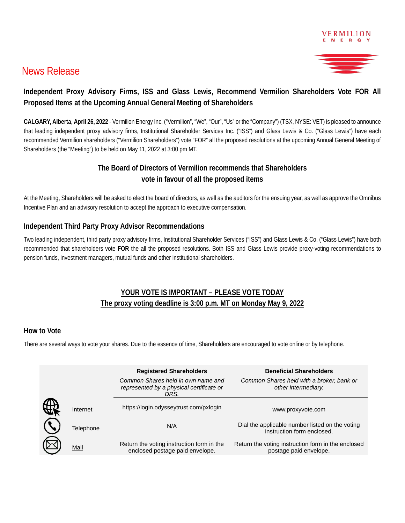

## News Release

## **Independent Proxy Advisory Firms, ISS and Glass Lewis, Recommend Vermilion Shareholders Vote FOR All Proposed Items at the Upcoming Annual General Meeting of Shareholders**

**CALGARY, Alberta, April 26, 2022** - Vermilion Energy Inc. ("Vermilion", "We", "Our", "Us" or the "Company") (TSX, NYSE: VET) is pleased to announce that leading independent proxy advisory firms, Institutional Shareholder Services Inc. ("ISS") and Glass Lewis & Co. ("Glass Lewis") have each recommended Vermilion shareholders ("Vermilion Shareholders") vote "FOR" all the proposed resolutions at the upcoming Annual General Meeting of Shareholders (the "Meeting") to be held on May 11, 2022 at 3:00 pm MT.

### **The Board of Directors of Vermilion recommends that Shareholders vote in favour of all the proposed items**

At the Meeting, Shareholders will be asked to elect the board of directors, as well as the auditors for the ensuing year, as well as approve the Omnibus Incentive Plan and an advisory resolution to accept the approach to executive compensation.

#### **Independent Third Party Proxy Advisor Recommendations**

Two leading independent, third party proxy advisory firms, Institutional Shareholder Services ("ISS") and Glass Lewis & Co. ("Glass Lewis") have both recommended that shareholders vote **FOR** the all the proposed resolutions. Both ISS and Glass Lewis provide proxy-voting recommendations to pension funds, investment managers, mutual funds and other institutional shareholders.

## **YOUR VOTE IS IMPORTANT – PLEASE VOTE TODAY The proxy voting deadline is 3:00 p.m. MT on Monday May 9, 2022**

#### **How to Vote**

There are several ways to vote your shares. Due to the essence of time, Shareholders are encouraged to vote online or by telephone.

|           | <b>Registered Shareholders</b>                                                         | <b>Beneficial Shareholders</b>                                                |
|-----------|----------------------------------------------------------------------------------------|-------------------------------------------------------------------------------|
|           | Common Shares held in own name and<br>represented by a physical certificate or<br>DRS. | Common Shares held with a broker, bank or<br>other intermediary.              |
| Internet  | https://login.odysseytrust.com/pxlogin                                                 | www.proxyvote.com                                                             |
| Telephone | N/A                                                                                    | Dial the applicable number listed on the voting<br>instruction form enclosed. |
| Mail      | Return the voting instruction form in the<br>enclosed postage paid envelope.           | Return the voting instruction form in the enclosed<br>postage paid envelope.  |